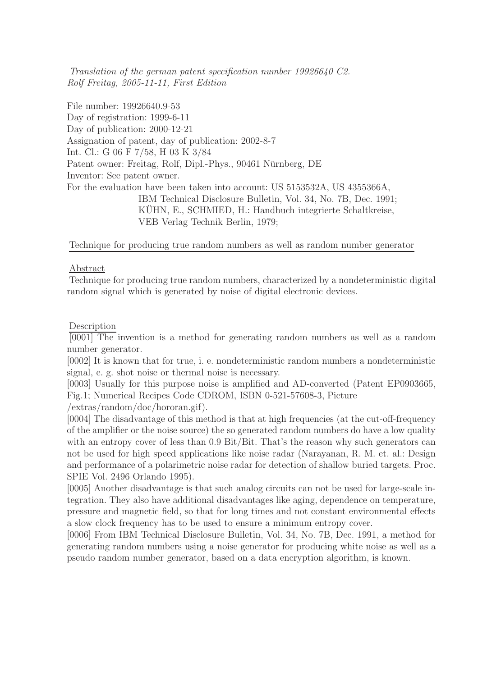Translation of the german patent specification number 19926640 C2. Rolf Freitag, 2005-11-11, First Edition

File number: 19926640.9-53 Day of registration: 1999-6-11 Day of publication: 2000-12-21 Assignation of patent, day of publication: 2002-8-7 Int. Cl.: G 06 F 7/58, H 03 K 3/84 Patent owner: Freitag, Rolf, Dipl.-Phys., 90461 Nürnberg, DE Inventor: See patent owner. For the evaluation have been taken into account: US 5153532A, US 4355366A, IBM Technical Disclosure Bulletin, Vol. 34, No. 7B, Dec. 1991; KÜHN, E., SCHMIED, H.: Handbuch integrierte Schaltkreise, VEB Verlag Technik Berlin, 1979;

### Technique for producing true random numbers as well as random number generator

### Abstract

Technique for producing true random numbers, characterized by a nondeterministic digital random signal which is generated by noise of digital electronic devices.

### Description

[0001] The invention is a method for generating random numbers as well as a random number generator.

[0002] It is known that for true, i. e. nondeterministic random numbers a nondeterministic signal, e. g. shot noise or thermal noise is necessary.

[0003] Usually for this purpose noise is amplified and AD-converted (Patent EP0903665, Fig.1; Numerical Recipes Code CDROM, ISBN 0-521-57608-3, Picture

/extras/random/doc/hororan.gif).

[0004] The disadvantage of this method is that at high frequencies (at the cut-off-frequency of the amplifier or the noise source) the so generated random numbers do have a low quality with an entropy cover of less than 0.9 Bit/Bit. That's the reason why such generators can not be used for high speed applications like noise radar (Narayanan, R. M. et. al.: Design and performance of a polarimetric noise radar for detection of shallow buried targets. Proc. SPIE Vol. 2496 Orlando 1995).

[0005] Another disadvantage is that such analog circuits can not be used for large-scale integration. They also have additional disadvantages like aging, dependence on temperature, pressure and magnetic field, so that for long times and not constant environmental effects a slow clock frequency has to be used to ensure a minimum entropy cover.

[0006] From IBM Technical Disclosure Bulletin, Vol. 34, No. 7B, Dec. 1991, a method for generating random numbers using a noise generator for producing white noise as well as a pseudo random number generator, based on a data encryption algorithm, is known.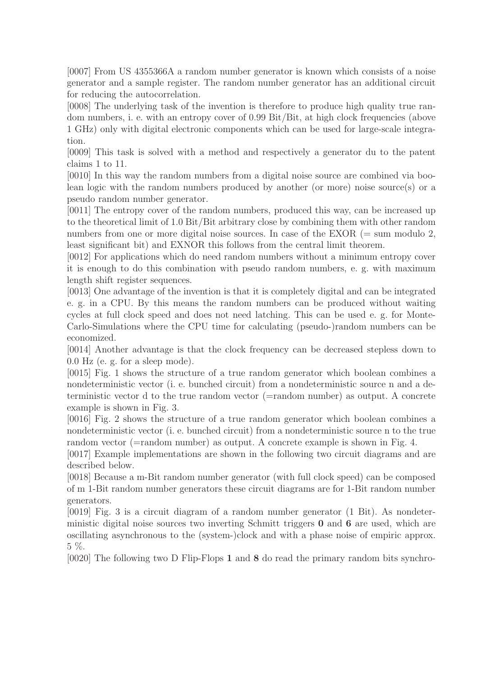[0007] From US 4355366A a random number generator is known which consists of a noise generator and a sample register. The random number generator has an additional circuit for reducing the autocorrelation.

[0008] The underlying task of the invention is therefore to produce high quality true random numbers, i. e. with an entropy cover of 0.99 Bit/Bit, at high clock frequencies (above 1 GHz) only with digital electronic components which can be used for large-scale integration.

[0009] This task is solved with a method and respectively a generator du to the patent claims 1 to 11.

[0010] In this way the random numbers from a digital noise source are combined via boolean logic with the random numbers produced by another (or more) noise source(s) or a pseudo random number generator.

[0011] The entropy cover of the random numbers, produced this way, can be increased up to the theoretical limit of 1.0 Bit/Bit arbitrary close by combining them with other random numbers from one or more digital noise sources. In case of the EXOR  $(= \text{sum modulo } 2)$ , least significant bit) and EXNOR this follows from the central limit theorem.

[0012] For applications which do need random numbers without a minimum entropy cover it is enough to do this combination with pseudo random numbers, e. g. with maximum length shift register sequences.

[0013] One advantage of the invention is that it is completely digital and can be integrated e. g. in a CPU. By this means the random numbers can be produced without waiting cycles at full clock speed and does not need latching. This can be used e. g. for Monte-Carlo-Simulations where the CPU time for calculating (pseudo-)random numbers can be economized.

[0014] Another advantage is that the clock frequency can be decreased stepless down to 0.0 Hz (e. g. for a sleep mode).

[0015] Fig. 1 shows the structure of a true random generator which boolean combines a nondeterministic vector (i. e. bunched circuit) from a nondeterministic source n and a deterministic vector d to the true random vector (=random number) as output. A concrete example is shown in Fig. 3.

[0016] Fig. 2 shows the structure of a true random generator which boolean combines a nondeterministic vector (i. e. bunched circuit) from a nondeterministic source n to the true random vector (=random number) as output. A concrete example is shown in Fig. 4.

[0017] Example implementations are shown in the following two circuit diagrams and are described below.

[0018] Because a m-Bit random number generator (with full clock speed) can be composed of m 1-Bit random number generators these circuit diagrams are for 1-Bit random number generators.

[0019] Fig. 3 is a circuit diagram of a random number generator (1 Bit). As nondeterministic digital noise sources two inverting Schmitt triggers 0 and 6 are used, which are oscillating asynchronous to the (system-)clock and with a phase noise of empiric approx. 5 %.

[0020] The following two D Flip-Flops 1 and 8 do read the primary random bits synchro-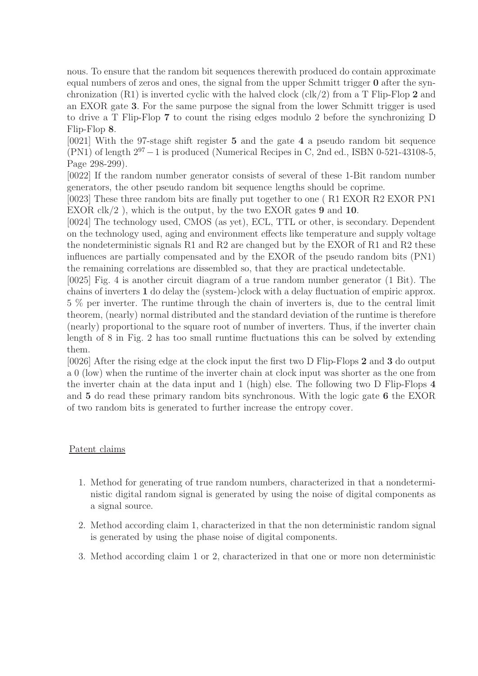nous. To ensure that the random bit sequences therewith produced do contain approximate equal numbers of zeros and ones, the signal from the upper Schmitt trigger 0 after the synchronization  $(R1)$  is inverted cyclic with the halved clock  $(\text{clk}/2)$  from a T Flip-Flop 2 and an EXOR gate 3. For the same purpose the signal from the lower Schmitt trigger is used to drive a T Flip-Flop 7 to count the rising edges modulo 2 before the synchronizing D Flip-Flop 8.

[0021] With the 97-stage shift register 5 and the gate 4 a pseudo random bit sequence (PN1) of length  $2^{97} - 1$  is produced (Numerical Recipes in C, 2nd ed., ISBN 0-521-43108-5, Page 298-299).

[0022] If the random number generator consists of several of these 1-Bit random number generators, the other pseudo random bit sequence lengths should be coprime.

[0023] These three random bits are finally put together to one ( R1 EXOR R2 EXOR PN1 EXOR  $\text{clk}/2$ ), which is the output, by the two EXOR gates 9 and 10.

[0024] The technology used, CMOS (as yet), ECL, TTL or other, is secondary. Dependent on the technology used, aging and environment effects like temperature and supply voltage the nondeterministic signals R1 and R2 are changed but by the EXOR of R1 and R2 these influences are partially compensated and by the EXOR of the pseudo random bits (PN1) the remaining correlations are dissembled so, that they are practical undetectable.

[0025] Fig. 4 is another circuit diagram of a true random number generator (1 Bit). The chains of inverters 1 do delay the (system-)clock with a delay fluctuation of empiric approx. 5 % per inverter. The runtime through the chain of inverters is, due to the central limit theorem, (nearly) normal distributed and the standard deviation of the runtime is therefore (nearly) proportional to the square root of number of inverters. Thus, if the inverter chain length of 8 in Fig. 2 has too small runtime fluctuations this can be solved by extending them.

[0026] After the rising edge at the clock input the first two D Flip-Flops 2 and 3 do output a 0 (low) when the runtime of the inverter chain at clock input was shorter as the one from the inverter chain at the data input and 1 (high) else. The following two D Flip-Flops 4 and 5 do read these primary random bits synchronous. With the logic gate 6 the EXOR of two random bits is generated to further increase the entropy cover.

## Patent claims

- 1. Method for generating of true random numbers, characterized in that a nondeterministic digital random signal is generated by using the noise of digital components as a signal source.
- 2. Method according claim 1, characterized in that the non deterministic random signal is generated by using the phase noise of digital components.
- 3. Method according claim 1 or 2, characterized in that one or more non deterministic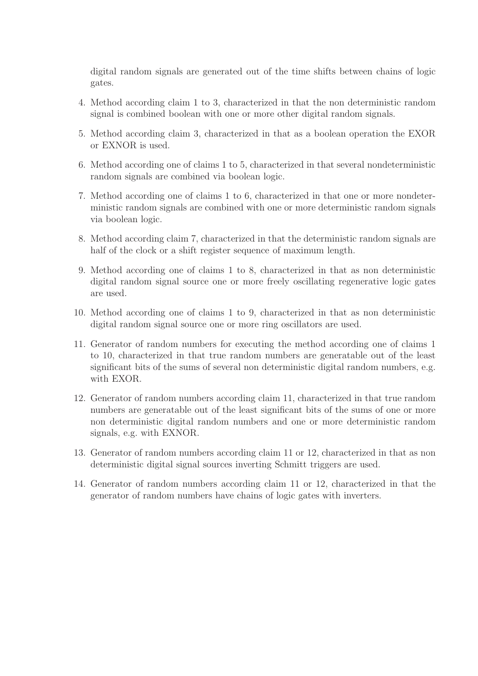digital random signals are generated out of the time shifts between chains of logic gates.

- 4. Method according claim 1 to 3, characterized in that the non deterministic random signal is combined boolean with one or more other digital random signals.
- 5. Method according claim 3, characterized in that as a boolean operation the EXOR or EXNOR is used.
- 6. Method according one of claims 1 to 5, characterized in that several nondeterministic random signals are combined via boolean logic.
- 7. Method according one of claims 1 to 6, characterized in that one or more nondeterministic random signals are combined with one or more deterministic random signals via boolean logic.
- 8. Method according claim 7, characterized in that the deterministic random signals are half of the clock or a shift register sequence of maximum length.
- 9. Method according one of claims 1 to 8, characterized in that as non deterministic digital random signal source one or more freely oscillating regenerative logic gates are used.
- 10. Method according one of claims 1 to 9, characterized in that as non deterministic digital random signal source one or more ring oscillators are used.
- 11. Generator of random numbers for executing the method according one of claims 1 to 10, characterized in that true random numbers are generatable out of the least significant bits of the sums of several non deterministic digital random numbers, e.g. with EXOR.
- 12. Generator of random numbers according claim 11, characterized in that true random numbers are generatable out of the least significant bits of the sums of one or more non deterministic digital random numbers and one or more deterministic random signals, e.g. with EXNOR.
- 13. Generator of random numbers according claim 11 or 12, characterized in that as non deterministic digital signal sources inverting Schmitt triggers are used.
- 14. Generator of random numbers according claim 11 or 12, characterized in that the generator of random numbers have chains of logic gates with inverters.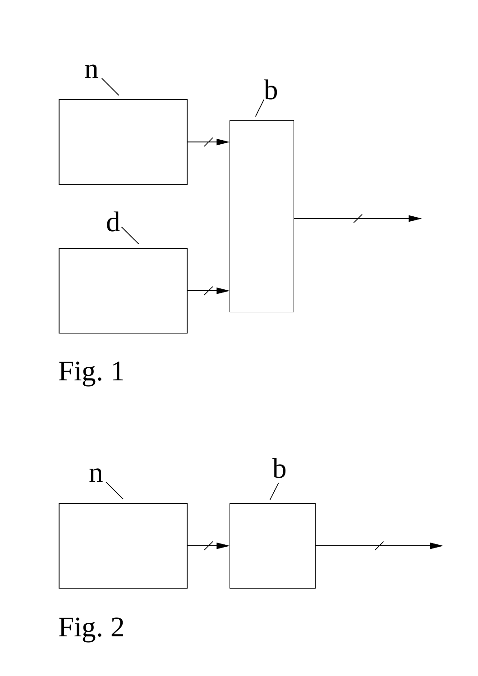

# Fig. 1



Fig. 2